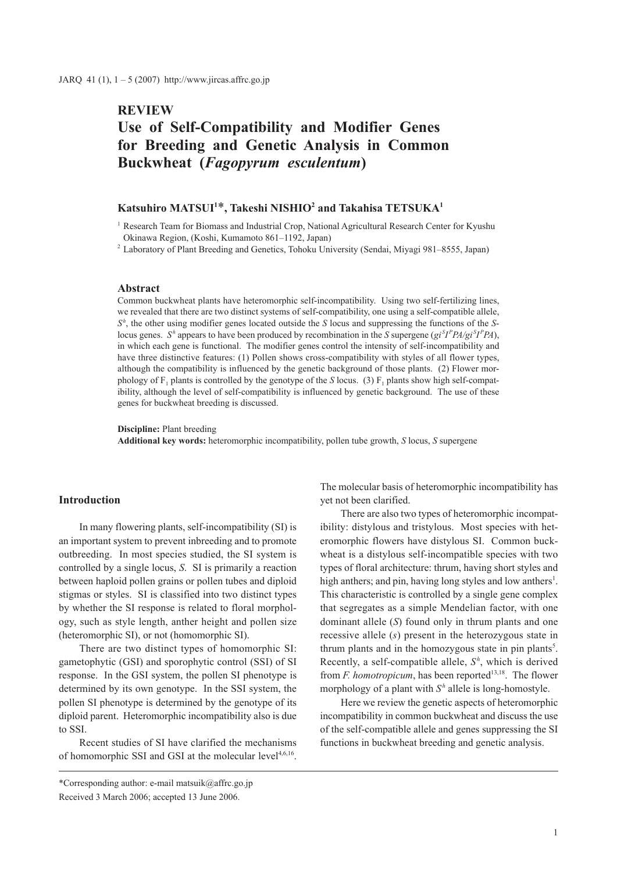# **REVIEW Use of Self-Compatibility and Modifier Genes for Breeding and Genetic Analysis in Common Buckwheat (***Fagopyrum esculentum***)**

# $\mathbf{K}$ atsuhiro MATSUI<sup>1\*</sup>, Takeshi NISHIO<sup>2</sup> and Takahisa TETSUKA<sup>1</sup>

<sup>1</sup> Research Team for Biomass and Industrial Crop, National Agricultural Research Center for Kyushu Okinawa Region, (Koshi, Kumamoto 861–1192, Japan)

2 Laboratory of Plant Breeding and Genetics, Tohoku University (Sendai, Miyagi 981–8555, Japan)

# **Abstract**

Common buckwheat plants have heteromorphic self-incompatibility. Using two self-fertilizing lines, we revealed that there are two distinct systems of self-compatibility, one using a self-compatible allele, *Sh* , the other using modifier genes located outside the *S* locus and suppressing the functions of the *S*locus genes. *S*<sup>*h*</sup> appears to have been produced by recombination in the *S* supergene ( $gi<sup>S</sup>PPA/gi<sup>S</sup>PPA$ ), in which each gene is functional. The modifier genes control the intensity of self-incompatibility and have three distinctive features: (1) Pollen shows cross-compatibility with styles of all flower types, although the compatibility is influenced by the genetic background of those plants. (2) Flower morphology of  $F_1$  plants is controlled by the genotype of the *S* locus. (3)  $F_1$  plants show high self-compatibility, although the level of self-compatibility is influenced by genetic background. The use of these genes for buckwheat breeding is discussed.

**Discipline:** Plant breeding

**Additional key words:** heteromorphic incompatibility, pollen tube growth, *S* locus, *S* supergene

### **Introduction**

In many flowering plants, self-incompatibility (SI) is an important system to prevent inbreeding and to promote outbreeding. In most species studied, the SI system is controlled by a single locus, *S*. SI is primarily a reaction between haploid pollen grains or pollen tubes and diploid stigmas or styles. SI is classified into two distinct types by whether the SI response is related to floral morphology, such as style length, anther height and pollen size (heteromorphic SI), or not (homomorphic SI).

There are two distinct types of homomorphic SI: gametophytic (GSI) and sporophytic control (SSI) of SI response. In the GSI system, the pollen SI phenotype is determined by its own genotype. In the SSI system, the pollen SI phenotype is determined by the genotype of its diploid parent. Heteromorphic incompatibility also is due to SSI.

Recent studies of SI have clarified the mechanisms of homomorphic SSI and GSI at the molecular level $4,6,16$ .

\*Corresponding author: e-mail matsuik@affrc.go.jp Received 3 March 2006; accepted 13 June 2006.

The molecular basis of heteromorphic incompatibility has yet not been clarified.

There are also two types of heteromorphic incompatibility: distylous and tristylous. Most species with heteromorphic flowers have distylous SI. Common buckwheat is a distylous self-incompatible species with two types of floral architecture: thrum, having short styles and high anthers; and pin, having long styles and low anthers<sup>1</sup>. This characteristic is controlled by a single gene complex that segregates as a simple Mendelian factor, with one dominant allele (*S*) found only in thrum plants and one recessive allele (*s*) present in the heterozygous state in thrum plants and in the homozygous state in pin plants<sup>5</sup>. Recently, a self-compatible allele,  $S<sup>h</sup>$ , which is derived from *F. homotropicum*, has been reported<sup>13,18</sup>. The flower morphology of a plant with  $S<sup>h</sup>$  allele is long-homostyle.

Here we review the genetic aspects of heteromorphic incompatibility in common buckwheat and discuss the use of the self-compatible allele and genes suppressing the SI functions in buckwheat breeding and genetic analysis.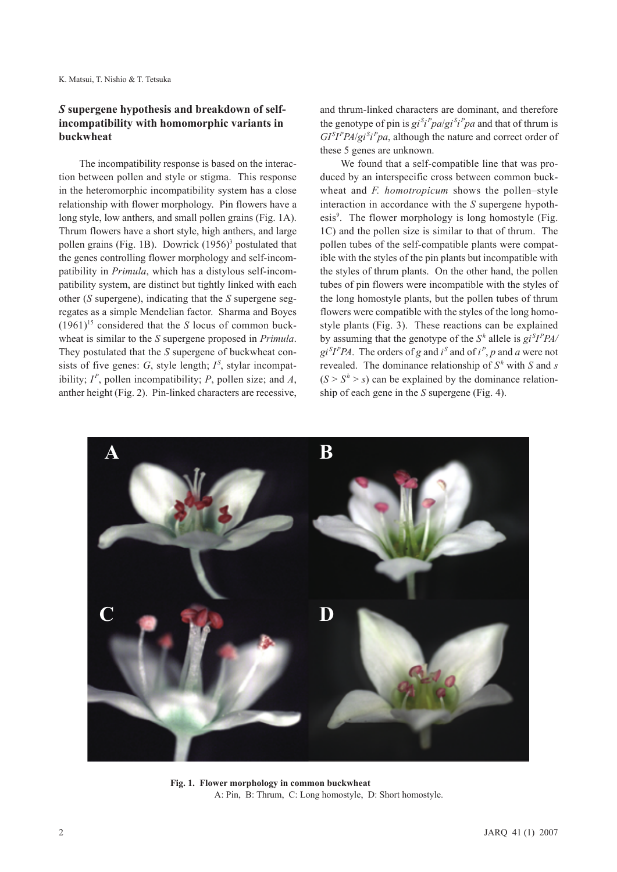K. Matsui, T. Nishio & T. Tetsuka

# *S* **supergene hypothesis and breakdown of selfincompatibility with homomorphic variants in buckwheat**

The incompatibility response is based on the interaction between pollen and style or stigma. This response in the heteromorphic incompatibility system has a close relationship with flower morphology. Pin flowers have a long style, low anthers, and small pollen grains (Fig. 1A). Thrum flowers have a short style, high anthers, and large pollen grains (Fig. 1B). Dowrick  $(1956)^3$  postulated that the genes controlling flower morphology and self-incompatibility in *Primula*, which has a distylous self-incompatibility system, are distinct but tightly linked with each other (*S* supergene), indicating that the *S* supergene segregates as a simple Mendelian factor. Sharma and Boyes  $(1961)^{15}$  considered that the *S* locus of common buckwheat is similar to the *S* supergene proposed in *Primula*. They postulated that the *S* supergene of buckwheat consists of five genes:  $G$ , style length;  $I<sup>S</sup>$ , stylar incompatibility;  $I^P$ , pollen incompatibility;  $P$ , pollen size; and  $A$ , anther height (Fig. 2). Pin-linked characters are recessive,

and thrum-linked characters are dominant, and therefore the genotype of pin is  $gi^{S}i^{P}pa/gi^{S}p^{P}pa$  and that of thrum is  $GI<sup>S</sup>I<sup>P</sup>PA/gi<sup>S</sup>i<sup>P</sup>pa$ , although the nature and correct order of these 5 genes are unknown.

We found that a self-compatible line that was produced by an interspecific cross between common buckwheat and *F. homotropicum* shows the pollen–style interaction in accordance with the *S* supergene hypothesis<sup>9</sup>. The flower morphology is long homostyle (Fig. 1C) and the pollen size is similar to that of thrum. The pollen tubes of the self-compatible plants were compatible with the styles of the pin plants but incompatible with the styles of thrum plants. On the other hand, the pollen tubes of pin flowers were incompatible with the styles of the long homostyle plants, but the pollen tubes of thrum flowers were compatible with the styles of the long homostyle plants (Fig. 3). These reactions can be explained by assuming that the genotype of the  $S^h$  allele is  $gi^S I^P P A$  $gi<sup>S</sup>I<sup>P</sup>PA$ . The orders of *g* and *i*<sup>S</sup> and of *i*<sup>P</sup>, *p* and *a* were not revealed. The dominance relationship of  $S<sup>h</sup>$  with *S* and *s*  $(S > S<sup>h</sup> > s)$  can be explained by the dominance relationship of each gene in the *S* supergene (Fig. 4).



**Fig. 1. Flower morphology in common buckwheat** A: Pin, B: Thrum, C: Long homostyle, D: Short homostyle.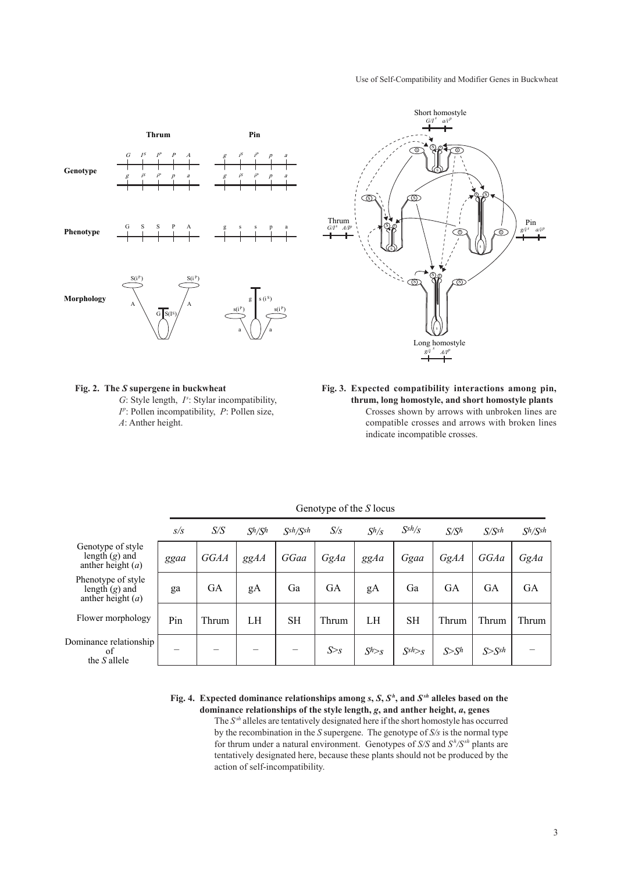#### Use of Self-Compatibility and Modifier Genes in Buckwheat



#### **Fig. 2. The** *S* **supergene in buckwheat**

*G*: Style length, *I*<sup>s</sup>: Stylar incompatibility,  $I^p$ : Pollen incompatibility, *P*: Pollen size, *A*: Anther height.

**Fig. 3. Expected compatibility interactions among pin, thrum, long homostyle, and short homostyle plants** Crosses shown by arrows with unbroken lines are compatible crosses and arrows with broken lines indicate incompatible crosses.

|                                                               | S/S  | S/S       | $S^h/S^h$ | Ssh/Ssh | S/s        | $S^h/s$   | $S^{sh}/s$ | S/S <sup>h</sup> | S/Ssh      | $S^h/S^{sh}$ |
|---------------------------------------------------------------|------|-----------|-----------|---------|------------|-----------|------------|------------------|------------|--------------|
| Genotype of style<br>length $(g)$ and<br>anther height $(a)$  | ggaa | GGAA      | ggAA      | GGaa    | GgAa       | ggAa      | Ggaa       | GgAA             | GGAa       | GgAa         |
| Phenotype of style<br>length $(g)$ and<br>anther height $(a)$ | ga   | <b>GA</b> | gA        | Ga      | <b>GA</b>  | gA        | Ga         | <b>GA</b>        | <b>GA</b>  | GА           |
| Flower morphology                                             | Pin  | Thrum     | LH        | SН      | Thrum      | LH        | <b>SH</b>  | Thrum            | Thrum      | Thrum        |
| Dominance relationship<br>οf<br>the S allele                  | –    |           |           |         | $S \geq s$ | $S^{h>s}$ | $S^{sh>}s$ | S>S <sup>h</sup> | $S>S^{sh}$ |              |

## Genotype of the *S* locus

**Fig. 4. Expected dominance relationships among**  $s$ **,**  $S$ **,**  $S<sup>h</sup>$ **, and**  $S<sup>sh</sup>$  **alleles based on the dominance relationships of the style length,** *g***, and anther height,** *a***, genes**

The *Ssh* alleles are tentatively designated here if the short homostyle has occurred by the recombination in the *S* supergene. The genotype of *S/s* is the normal type for thrum under a natural environment. Genotypes of *S/S* and  $S<sup>h</sup>/S<sup>sh</sup>$  plants are tentatively designated here, because these plants should not be produced by the action of self-incompatibility.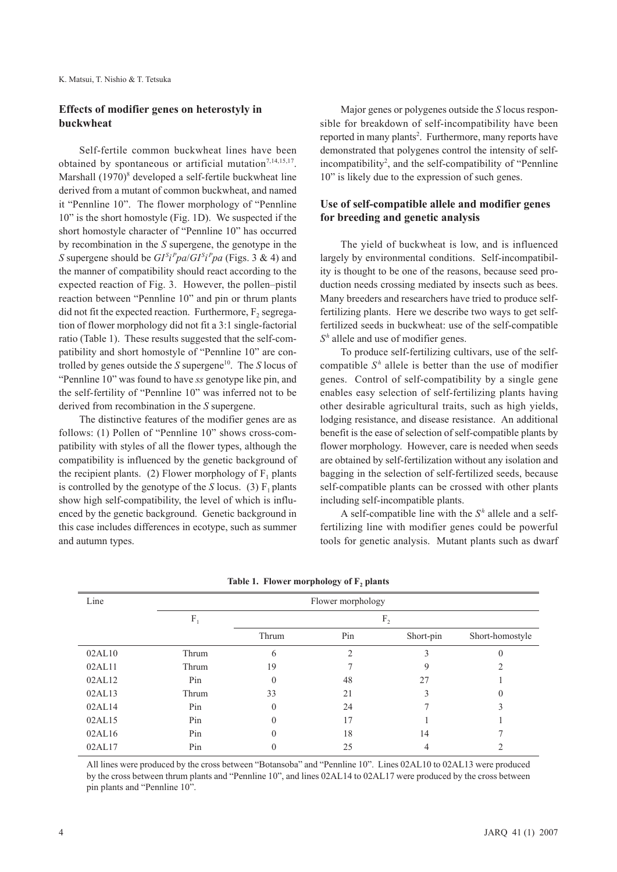# **Effects of modifier genes on heterostyly in buckwheat**

Self-fertile common buckwheat lines have been obtained by spontaneous or artificial mutation<sup>7,14,15,17</sup>. Marshall  $(1970)^8$  developed a self-fertile buckwheat line derived from a mutant of common buckwheat, and named it "Pennline 10". The flower morphology of "Pennline 10" is the short homostyle (Fig. 1D). We suspected if the short homostyle character of "Pennline 10" has occurred by recombination in the *S* supergene, the genotype in the *S* supergene should be  $GI^{S}i^{P}pa/GI^{S}i^{P}pa$  (Figs. 3 & 4) and the manner of compatibility should react according to the expected reaction of Fig. 3. However, the pollen–pistil reaction between "Pennline 10" and pin or thrum plants did not fit the expected reaction. Furthermore,  $F<sub>2</sub>$  segregation of flower morphology did not fit a 3:1 single-factorial ratio (Table 1). These results suggested that the self-compatibility and short homostyle of "Pennline 10" are controlled by genes outside the *S* supergene<sup>10</sup>. The *S* locus of "Pennline 10" was found to have *ss* genotype like pin, and the self-fertility of "Pennline 10" was inferred not to be derived from recombination in the *S* supergene.

The distinctive features of the modifier genes are as follows: (1) Pollen of "Pennline 10" shows cross-compatibility with styles of all the flower types, although the compatibility is influenced by the genetic background of the recipient plants. (2) Flower morphology of  $F_1$  plants is controlled by the genotype of the  $S$  locus. (3)  $F_1$  plants show high self-compatibility, the level of which is influenced by the genetic background. Genetic background in this case includes differences in ecotype, such as summer and autumn types.

Major genes or polygenes outside the *S* locus responsible for breakdown of self-incompatibility have been reported in many plants<sup>2</sup>. Furthermore, many reports have demonstrated that polygenes control the intensity of selfincompatibility<sup>2</sup>, and the self-compatibility of "Pennline 10" is likely due to the expression of such genes.

# **Use of self-compatible allele and modifier genes for breeding and genetic analysis**

The yield of buckwheat is low, and is influenced largely by environmental conditions. Self-incompatibility is thought to be one of the reasons, because seed production needs crossing mediated by insects such as bees. Many breeders and researchers have tried to produce selffertilizing plants. Here we describe two ways to get selffertilized seeds in buckwheat: use of the self-compatible *Sh* allele and use of modifier genes.

To produce self-fertilizing cultivars, use of the selfcompatible  $S<sup>h</sup>$  allele is better than the use of modifier genes. Control of self-compatibility by a single gene enables easy selection of self-fertilizing plants having other desirable agricultural traits, such as high yields, lodging resistance, and disease resistance. An additional benefit is the ease of selection of self-compatible plants by flower morphology. However, care is needed when seeds are obtained by self-fertilization without any isolation and bagging in the selection of self-fertilized seeds, because self-compatible plants can be crossed with other plants including self-incompatible plants.

A self-compatible line with the  $S<sup>h</sup>$  allele and a selffertilizing line with modifier genes could be powerful tools for genetic analysis. Mutant plants such as dwarf

| Line   | Flower morphology |                |                          |           |                 |  |  |  |
|--------|-------------------|----------------|--------------------------|-----------|-----------------|--|--|--|
|        | $F_1$             | F <sub>2</sub> |                          |           |                 |  |  |  |
|        |                   | Thrum          | Pin                      | Short-pin | Short-homostyle |  |  |  |
| 02AL10 | Thrum             | 6              | $\mathfrak{D}_{1}^{(1)}$ |           | 0               |  |  |  |
| 02AL11 | Thrum             | 19             |                          | 9         |                 |  |  |  |
| 02AL12 | Pin               |                | 48                       | 27        |                 |  |  |  |
| 02AL13 | Thrum             | 33             | 21                       |           |                 |  |  |  |
| 02AL14 | Pin               |                | 24                       |           |                 |  |  |  |
| 02AL15 | Pin               |                | 17                       |           |                 |  |  |  |
| 02AL16 | Pin               |                | 18                       | 14        |                 |  |  |  |
| 02AL17 | Pin               |                | 25                       | 4         |                 |  |  |  |

Table 1. Flower morphology of F<sub>2</sub> plants

All lines were produced by the cross between "Botansoba" and "Pennline 10". Lines 02AL10 to 02AL13 were produced by the cross between thrum plants and "Pennline 10", and lines 02AL14 to 02AL17 were produced by the cross between pin plants and "Pennline 10".